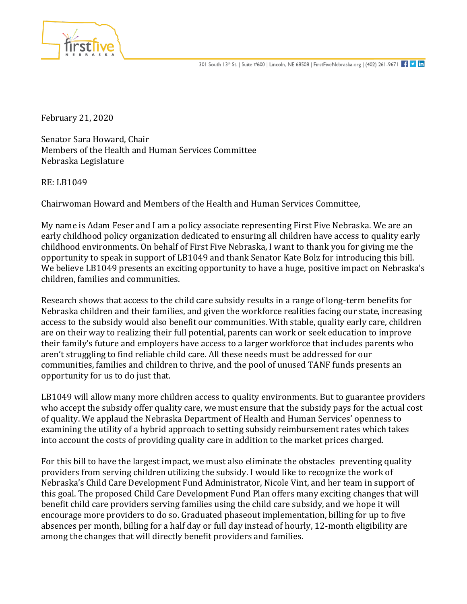

February 21, 2020

Senator Sara Howard, Chair Members of the Health and Human Services Committee Nebraska Legislature

RE: LB1049

Chairwoman Howard and Members of the Health and Human Services Committee,

My name is Adam Feser and I am a policy associate representing First Five Nebraska. We are an early childhood policy organization dedicated to ensuring all children have access to quality early childhood environments. On behalf of First Five Nebraska, I want to thank you for giving me the opportunity to speak in support of LB1049 and thank Senator Kate Bolz for introducing this bill. We believe LB1049 presents an exciting opportunity to have a huge, positive impact on Nebraska's children, families and communities.

Research shows that access to the child care subsidy results in a range of long-term benefits for Nebraska children and their families, and given the workforce realities facing our state, increasing access to the subsidy would also benefit our communities. With stable, quality early care, children are on their way to realizing their full potential, parents can work or seek education to improve their family's future and employers have access to a larger workforce that includes parents who aren't struggling to find reliable child care. All these needs must be addressed for our communities, families and children to thrive, and the pool of unused TANF funds presents an opportunity for us to do just that.

LB1049 will allow many more children access to quality environments. But to guarantee providers who accept the subsidy offer quality care, we must ensure that the subsidy pays for the actual cost of quality. We applaud the Nebraska Department of Health and Human Services' openness to examining the utility of a hybrid approach to setting subsidy reimbursement rates which takes into account the costs of providing quality care in addition to the market prices charged.

For this bill to have the largest impact, we must also eliminate the obstacles preventing quality providers from serving children utilizing the subsidy. I would like to recognize the work of Nebraska's Child Care Development Fund Administrator, Nicole Vint, and her team in support of this goal. The proposed Child Care Development Fund Plan offers many exciting changes that will benefit child care providers serving families using the child care subsidy, and we hope it will encourage more providers to do so. Graduated phaseout implementation, billing for up to five absences per month, billing for a half day or full day instead of hourly, 12-month eligibility are among the changes that will directly benefit providers and families.